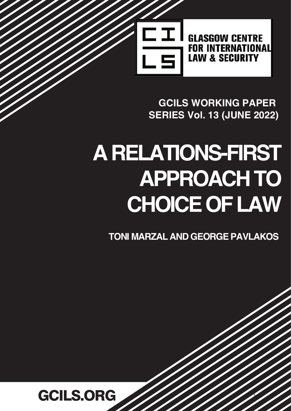

**GCILS WORKING PAPER 6SERIES Vol. 13 (JUNE 2022)** 

# **A RELATIONS-FIRST APPROACH TO CHOICE OF LAW**

**TONI MARZAL\$1'GEORGE PAVLAKOS**

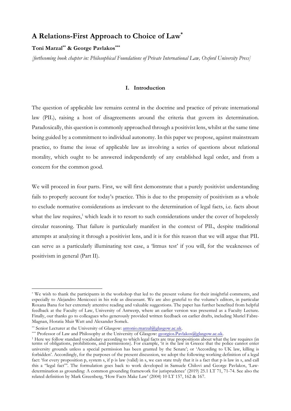# A Relations-First Approach to Choice of Law\*

## Toni Marzal\*\* & George Pavlakos\*\*\*

[forthcoming book chapter in: Philosophical Foundations of Private International Law, Oxford University Press]

## I. Introduction

The question of applicable law remains central in the doctrine and practice of private international law (PIL), raising a host of disagreements around the criteria that govern its determination. Paradoxically, this question is commonly approached through a positivist lens, whilst at the same time being guided by a commitment to individual autonomy. In this paper we propose, against mainstream practice, to frame the issue of applicable law as involving a series of questions about relational morality, which ought to be answered independently of any established legal order, and from a concern for the common good.

We will proceed in four parts. First, we will first demonstrate that a purely positivist understanding fails to properly account for today's practice. This is due to the propensity of positivism as a whole to exclude normative considerations as irrelevant to the determination of legal facts, i.e. facts about what the law requires,<sup>1</sup> which leads it to resort to such considerations under the cover of hopelessly circular reasoning. That failure is particularly manifest in the context of PIL, despite traditional attempts at analyzing it through a positivist lens, and it is for this reason that we will argue that PIL can serve as a particularly illuminating test case, a 'litmus test' if you will, for the weaknesses of positivism in general (Part II).

\*\*\* Professor of Law and Philosophy at the University of Glasgow: georgios.Pavlakos@glasgow.ac.uk.

<sup>\*</sup> We wish to thank the participants in the workshop that led to the present volume for their insightful comments, and especially to Alejandro Menicocci in his role as discussant. We are also grateful to the volume's editors, in particular Roxana Banu for her extremely attentive reading and valuable suggestions. The paper has further benefited from helpful feedback at the Faculty of Law, University of Antwerp, where an earlier version was presented as a Faculty Lecture. Finally, our thanks go to colleagues who generously provided written feedback on earlier drafts, including Muriel Fabre-Magnan, Horatia Muir Watt and Alexander Somek.

<sup>\*\*</sup> Senior Lecturer at the University of Glasgow: antonio.marzal@glasgow.ac.uk.

<sup>&</sup>lt;sup>1</sup> Here we follow standard vocabulary according to which legal facts are true propositions about what the law requires (in terms of obligations, prohibitions, and permissions). For example, 'it is the law in Greece that the police cannot enter university grounds unless a special permission has been granted by the Senate'; or 'According to UK law, killing is forbidden'. Accordingly, for the purposes of the present discussion, we adopt the following working definition of a legal fact: 'for every proposition p, system s, if p is law (valid) in s, we can state truly that it is a fact that p is law in s, and call this a "legal fact"'. The formulation goes back to work developed in Samuele Chilovi and George Pavlakos, 'Lawdetermination as grounding: A common grounding framework for jurisprudence' (2019) 25.1 LT 71, 71-74. See also the related definition by Mark Greenberg, 'How Facts Make Law' (2004) 10 LT 157, 162 & 167.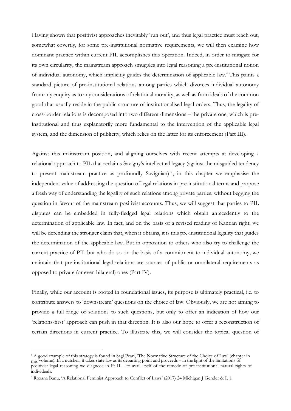Having shown that positivist approaches inevitably 'run out', and thus legal practice must reach out, somewhat covertly, for some pre-institutional normative requirements, we will then examine how dominant practice within current PIL accomplishes this operation. Indeed, in order to mitigate for its own circularity, the mainstream approach smuggles into legal reasoning a pre-institutional notion of individual autonomy, which implicitly guides the determination of applicable law.<sup>2</sup> This paints a standard picture of pre-institutional relations among parties which divorces individual autonomy from any enquiry as to any considerations of relational morality, as well as from ideals of the common good that usually reside in the public structure of institutionalised legal orders. Thus, the legality of cross-border relations is decomposed into two different dimensions – the private one, which is preinstitutional and thus explanatorily more fundamental to the intervention of the applicable legal system, and the dimension of publicity, which relies on the latter for its enforcement (Part III).

Against this mainstream position, and aligning ourselves with recent attempts at developing a relational approach to PIL that reclaims Savigny's intellectual legacy (against the misguided tendency to present mainstream practice as profoundly Savignian)<sup>3</sup>, in this chapter we emphasise the independent value of addressing the question of legal relations in pre-institutional terms and propose a fresh way of understanding the legality of such relations among private parties, without begging the question in favour of the mainstream positivist accounts. Thus, we will suggest that parties to PIL disputes can be embedded in fully-fledged legal relations which obtain antecedently to the determination of applicable law. In fact, and on the basis of a revised reading of Kantian right, we will be defending the stronger claim that, when it obtains, it is this pre-institutional legality that guides the determination of the applicable law. But in opposition to others who also try to challenge the current practice of PIL but who do so on the basis of a commitment to individual autonomy, we maintain that pre-institutional legal relations are sources of public or omnilateral requirements as opposed to private (or even bilateral) ones (Part IV).

Finally, while our account is rooted in foundational issues, its purpose is ultimately practical, i.e. to contribute answers to 'downstream' questions on the choice of law. Obviously, we are not aiming to provide a full range of solutions to such questions, but only to offer an indication of how our 'relations-first' approach can push in that direction. It is also our hope to offer a reconstruction of certain directions in current practice. To illustrate this, we will consider the topical question of

<sup>2</sup> A good example of this strategy is found in Sagi Peari, 'The Normative Structure of the Choice of Law' (chapter in this volume). In a nutshell, it takes state law as its departing point and proceeds – in the light of the limitations of positivist legal reasoning we diagnose in Pt II – to avail itself of the remedy of pre-institutional natural rights of individuals.

<sup>3</sup> Roxana Banu, 'A Relational Feminist Approach to Conflict of Laws' (2017) 24 Michigan J Gender & L 1.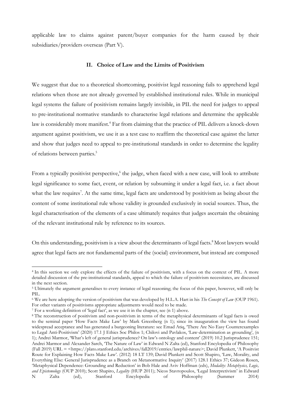applicable law to claims against parent/buyer companies for the harm caused by their subsidiaries/providers overseas (Part V).

### II. Choice of Law and the Limits of Positivism

We suggest that due to a theoretical shortcoming, positivist legal reasoning fails to apprehend legal relations when those are not already governed by established institutional rules. While in municipal legal systems the failure of positivism remains largely invisible, in PIL the need for judges to appeal to pre-institutional normative standards to characterise legal relations and determine the applicable law is considerably more manifest.<sup>4</sup> Far from claiming that the practice of PIL delivers a knock-down argument against positivism, we use it as a test case to reaffirm the theoretical case against the latter and show that judges need to appeal to pre-institutional standards in order to determine the legality of relations between parties.<sup>5</sup>

From a typically positivist perspective,<sup>6</sup> the judge, when faced with a new case, will look to attribute legal significance to some fact, event, or relation by subsuming it under a legal fact, i.e. a fact about what the law requires<sup>7</sup>. At the same time, legal facts are understood by positivism as being about the content of some institutional rule whose validity is grounded exclusively in social sources. Thus, the legal characterisation of the elements of a case ultimately requires that judges ascertain the obtaining of the relevant institutional rule by reference to its sources.

On this understanding, positivism is a view about the determinants of legal facts.<sup>8</sup> Most lawyers would agree that legal facts are not fundamental parts of the (social) environment, but instead are composed

<sup>4</sup> In this section we only explore the effects of the failure of positivism, with a focus on the context of PIL. A more detailed discussion of the pre-institutional standards, appeal to which the failure of positivism necessitates, are discussed in the next section.

<sup>&</sup>lt;sup>5</sup> Ultimately the argument generalises to every instance of legal reasoning; the focus of this paper, however, will only be PIL.

<sup>&</sup>lt;sup>6</sup> We are here adopting the version of positivism that was developed by H.L.A. Hart in his The Concept of Law (OUP 1961). For other variants of positivisms appropriate adjustments would need to be made.

<sup>7</sup> For a working definition of 'legal fact', as we use it in the chapter, see (n 1) above.

<sup>&</sup>lt;sup>8</sup> The reconstruction of positivism and non-positivism in terms of the metaphysical determinants of legal facts is owed to the seminal paper 'How Facts Make Law' by Mark Greenberg (n 1); since its inauguration the view has found widespread acceptance and has generated a burgeoning literature: see Emad Atiq, 'There Are No Easy Counterexamples to Legal Anti-Positivism' (2020) 17.1 J Ethics Soc Philos 1; Chilovi and Pavlakos, 'Law-determination as grounding', (n 1); Andrei Marmor, 'What's left of general jurisprudence? On law's ontology and content' (2019) 10.2 Jurisprudence 151; Andrei Marmor and Alexander Sarch, 'The Nature of Law' in Edward N Zalta (ed), Stanford Encylopedia of Philosophy (Fall 2019) URL = <https://plato.stanford.edu/archives/fall2019/entries/lawphil-nature>; David Plunkett, 'A Positvist Route for Explaining How Facts Make Law'. (2012) 18 LT 139; David Plunkett and Scott Shapiro, 'Law, Morality, and Everything Else: General Jurisprudence as a Branch on Metanormative Inquiry' (2017) 128.1 Ethics 37; Gideon Rosen, 'Metaphysical Dependence: Grounding and Reduction' in Bob Hale and Aviv Hoffman (eds), Modality: Metaphysics, Logic, and Epistemology (OUP 2010); Scott Shapiro, Legality (HUP 2011); Nicos Stavropoulos, 'Legal Interpretivism' in Edward N Zalta (ed), Stanford Encylopedia of Philosophy (Summer 2014)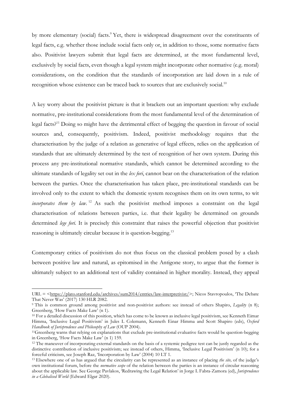by more elementary (social) facts.<sup>9</sup> Yet, there is widespread disagreement over the constituents of legal facts, e.g. whether those include social facts only or, in addition to those, some normative facts also. Positivist lawyers submit that legal facts are determined, at the most fundamental level, exclusively by social facts, even though a legal system might incorporate other normative (e.g. moral) considerations, on the condition that the standards of incorporation are laid down in a rule of recognition whose existence can be traced back to sources that are exclusively social.<sup>10</sup>

A key worry about the positivist picture is that it brackets out an important question: why exclude normative, pre-institutional considerations from the most fundamental level of the determination of legal facts?<sup>11</sup> Doing so might have the detrimental effect of begging the question in favour of social sources and, consequently, positivism. Indeed, positivist methodology requires that the characterisation by the judge of a relation as generative of legal effects, relies on the application of standards that are ultimately determined by the test of recognition of her own system. During this process any pre-institutional normative standards, which cannot be determined according to the ultimate standards of legality set out in the lex fori, cannot bear on the characterisation of the relation between the parties. Once the characterisation has taken place, pre-institutional standards can be involved only to the extent to which the domestic system recognises them on its own terms, to wit incorporates them by law.<sup>12</sup> As such the positivist method imposes a constraint on the legal characterisation of relations between parties, i.e. that their legality be determined on grounds determined *lege fori*. It is precisely this constraint that raises the powerful objection that positivist reasoning is ultimately circular because it is question-begging.<sup>13</sup>

Contemporary critics of positivism do not thus focus on the classical problem posed by a clash between positive law and natural, as epitomised in the Antigone story, to argue that the former is ultimately subject to an additional test of validity contained in higher morality. Instead, they appeal

 $URL = <\frac{https://plate.stanford.edu/archives/sum2014/entries/law-interpretivist/>}$ ; Nicos Stavropoulos, 'The Debate That Never Was' (2017) 130 HLR 2082.

<sup>&</sup>lt;sup>9</sup> This is common ground among positivist and non-positivist authors: see instead of others Shapiro, Legality (n 8); Greenberg, 'How Facts Make Law' (n 1).

<sup>&</sup>lt;sup>10</sup> For a detailed discussion of this position, which has come to be known as inclusive legal positivism, see Kenneth Eimar Himma, 'Inclusive Legal Positivism' in Jules L Colemann, Kenneth Einar Himma and Scott Shapiro (eds), Oxford Handbook of Jurisprudence and Philosophy of Law (OUP 2004).

<sup>&</sup>lt;sup>11</sup>Greenberg warns that relying on explanations that exclude pre-institutional evaluative facts would be question-begging in Greenberg, 'How Facts Make Law' (n 1) 159.

<sup>&</sup>lt;sup>12</sup> The maneuver of incorporating external standards on the basis of a systemic pedigree test can be justly regarded as the distinctive contribution of inclusive positivism; see instead of others, Himma, 'Inclusive Legal Positivism' (n 10); for a forceful criticism, see Joseph Raz, 'Incorporation by Law' (2004) 10 LT 1.

<sup>&</sup>lt;sup>13</sup> Elsewhere one of us has argued that the circularity can be represented as an instance of placing the site, of the judge's own institutional forum, before the *normative scope* of the relation between the parties is an instance of circular reasoning about the applicable law. See George Pavlakos, 'Redrawing the Legal Relation' in Jorge L Fabra-Zamora (ed), Jurisprudence in a Globalised World (Edward Elgar 2020).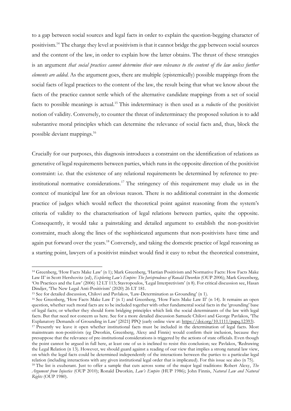to a gap between social sources and legal facts in order to explain the question-begging character of positivism.<sup>14</sup> The charge they level at positivism is that it cannot bridge the gap between social sources and the content of the law, in order to explain how the latter obtains. The thrust of these strategies is an argument that social practices cannot determine their own relevance to the content of the law unless further elements are added. As the argument goes, there are multiple (epistemically) possible mappings from the social facts of legal practices to the content of the law, the result being that what we know about the facts of the practice cannot settle which of the alternative candidate mappings from a set of social facts to possible meanings is actual.<sup>15</sup> This indeterminacy is then used as a *reductio* of the positivist notion of validity. Conversely, to counter the threat of indeterminacy the proposed solution is to add substantive moral principles which can determine the relevance of social facts and, thus, block the possible deviant mappings.<sup>16</sup>

Crucially for our purposes, this diagnosis introduces a constraint on the identification of relations as generative of legal requirements between parties, which runs in the opposite direction of the positivist constraint: i.e. that the existence of any relational requirements be determined by reference to preinstitutional normative considerations.<sup>17</sup> The stringency of this requirement may elude us in the context of municipal law for an obvious reason. There is no additional constraint in the domestic practice of judges which would reflect the theoretical point against reasoning from the system's criteria of validity to the characterisation of legal relations between parties, quite the opposite. Consequently, it would take a painstaking and detailed argument to establish the non-positivist constraint, much along the lines of the sophisticated arguments that non-positivists have time and again put forward over the years.<sup>18</sup> Conversely, and taking the domestic practice of legal reasoning as a starting point, lawyers of a positivist mindset would find it easy to rebut the theoretical constraint,

<sup>14</sup> Greenberg, 'How Facts Make Law' (n 1); Mark Greenberg, 'Hartian Positivism and Normative Facts: How Facts Make Law II' in Scott Hershovitz (ed), Exploring Law's Empire: The Jurisprudence of Ronald Dworkin (OUP 2006); Mark Greenberg, 'On Practices and the Law' (2006) 12 LT 113; Stavropoulos, 'Legal Interpretivism' (n 8). For critical discussion see, Hasan Dindjer, 'The New Legal Anti-Positivism' (2020) 26 LT 181.

<sup>&</sup>lt;sup>15</sup> See for detailed discussion, Chilovi and Pavlakos, 'Law-Determination as Grounding' (n 1).

<sup>&</sup>lt;sup>16</sup> See Greenberg, 'How Facts Make Law I' (n 1) and Greenberg, 'How Facts Make Law II' (n 14). It remains an open question, whether such moral facts are to be included together with other fundamental social facts in the 'grounding' base of legal facts; or whether they should form bridging principles which link the social determinants of the law with legal facts. But that need not concern us here. See for a more detailed discussion Samuele Chilovi and George Pavlakos, 'The Explanatory Demands of Grounding in Law' [2021] PPQ (early online view at: https://doi.org/10.1111/papq.12393).

<sup>17</sup> Presently we leave it open whether institutional facts must be included in the determination of legal facts. Most mainstream non-positivists (eg Dworkin, Greenberg, Alexy and Finnis) would confirm their inclusion, because they presuppose that the relevance of pre-institutional considerations is triggered by the actions of state officials. Even though the point cannot be argued in full here, at least one of us is inclined to resist this conclusion; see Pavlakos, 'Redrawing the Legal Relation (n 13). However, we should guard against a reading of our view that implies a strong natural law view, on which the legal facts could be determined independently of the interactions between the parties to a particular legal relation (including interactions with any given institutional legal order that is implicated). For this issue see also (n 75).

<sup>&</sup>lt;sup>18</sup> The list is exuberant. Just to offer a sample that cuts across some of the major legal traditions: Robert Alexy, *The* Argument from Injustice (OUP 2010); Ronald Dworkin, Law's Empire (HUP 1986); John Finnis, Natural Law and Natural Rights (OUP 1980).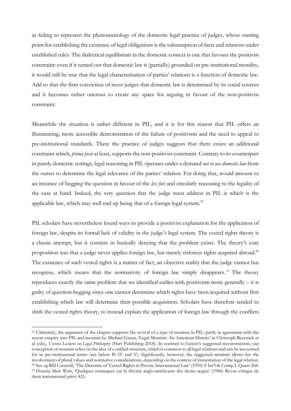as failing to represent the phenomenology of the domestic legal practice of judges, whose starting point for establishing the existence of legal obligations is the subsumption of facts and relations under established rules. The dialectical equilibrium in the domestic context is one that favours the positivist constraint: even if it turned out that domestic law is (partially) grounded on pre-institutional morality, it would still be true that the legal characterisation of parties' relations is a function of domestic law. Add to that the firm conviction of most judges that domestic law is determined by its social sources and it becomes rather onerous to create any space for arguing in favour of the non-positivist constraint.

Meanwhile the situation is rather different in PIL, and it is for this reason that PIL offers an illuminating, more accessible demonstration of the failure of positivism and the need to appeal to pre-institutional standards. There the practice of judges suggests that there exists an additional constraint which, prima facie at least, supports the non-positivist constraint. Contrary to its counterpart in purely domestic settings, legal reasoning in PIL operates under a demand not to use domestic law from the outset to determine the legal relevance of the parties' relation. For doing that, would amount to an instance of begging the question in favour of the lex fori and circularly reasoning to the legality of the case at hand. Indeed, the very question that the judge must address in PIL is which is the applicable law, which may well end up being that of a foreign legal system.<sup>19</sup>

PIL scholars have nevertheless found ways to provide a positivist explanation for the application of foreign law, despite its formal lack of validity in the judge's legal system. The vested rights theory is a classic attempt, but it consists in basically denying that the problem exists. The theory's core proposition was that a judge never applies foreign law, but merely enforces rights acquired abroad.<sup>20</sup> The existence of such vested rights is a matter of fact, an objective reality that the judge cannot but recognise, which means that the normativity of foreign law simply disappears.<sup>21</sup> The theory reproduces exactly the same problem that we identified earlier with positivism more generally – it is guilty of question-begging since one cannot determine which rights have been acquired without first establishing which law will determine their possible acquisition. Scholars have therefore tended to shirk the vested rights theory, to instead explain the application of foreign law through the conflicts

<sup>19</sup> Ultimately, the argument of the chapter supports the revival of a type of monism in PIL, partly in agreement with the recent enquiry into PIL and monism by Michael Green, 'Legal Monism: An American History' in Christoph Bezemek et al (eds), Vienna Lectures on Legal Philosophy (Hart Publishing 2018). In contrast to Green's suggested reconstruction, our conception of monism relies on the idea of a unified structure, which is common to all legal relations and can be accounted for in pre-institutional terms (see below Pt IV and V). Significantly, however, the suggested monism allows for the involvement of plural values and normative considerations, depending on the context of instantiation of the legal relation. <sup>20</sup> See eg RD Carswell, 'The Doctrine of Vested Rights in Private International Law' (1959) 8 Int'l & Comp L Quart 268. <sup>21</sup> Horatia Muir Watt, 'Quelques remarques sur la théorie anglo-américaine des droits acquis' (1986) Revue critique de droit international privé 425.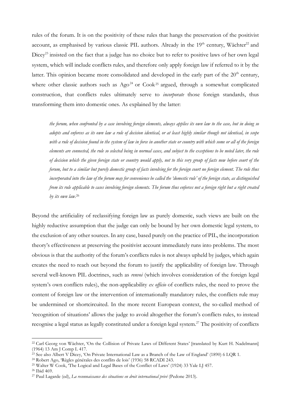rules of the forum. It is on the positivity of these rules that hangs the preservation of the positivist account, as emphasised by various classic PIL authors. Already in the 19<sup>th</sup> century, Wächter<sup>22</sup> and Dicey<sup>23</sup> insisted on the fact that a judge has no choice but to refer to positive laws of her own legal system, which will include conflicts rules, and therefore only apply foreign law if referred to it by the latter. This opinion became more consolidated and developed in the early part of the  $20<sup>th</sup>$  century, where other classic authors such as  $Ago^{24}$  or Cook<sup>25</sup> argued, through a somewhat complicated construction, that conflicts rules ultimately serve to *incorporate* those foreign standards, thus transforming them into domestic ones. As explained by the latter:

the forum, when confronted by a case involving foreign elements, always applies its own law to the case, but in doing so adopts and enforces as its own law a rule of decision identical, or at least highly similar though not identical, in scope with a rule of decision found in the system of law in force in another state or country with which some or all of the foreign elements are connected, the rule so selected being in normal cases, and subject to the exceptions to be noted later, the rule of decision which the given foreign state or country would apply, not to this very group of facts now before court of the forum, but to a similar but purely domestic group of facts involving for the foreign court no foreign element. The rule thus incorporated into the law of the forum may for convenience be called the 'domestic rule' of the foreign state, as distinguished from its rule applicable to cases involving foreign elements. The forum thus enforces not a foreign right but a right created by its own law.<sup>26</sup>

Beyond the artificiality of reclassifying foreign law as purely domestic, such views are built on the highly reductive assumption that the judge can only be bound by her own domestic legal system, to the exclusion of any other sources. In any case, based purely on the practice of PIL, the incorporation theory's effectiveness at preserving the positivist account immediately runs into problems. The most obvious is that the authority of the forum's conflicts rules is not always upheld by judges, which again creates the need to reach out beyond the forum to justify the applicability of foreign law. Through several well-known PIL doctrines, such as *renvoi* (which involves consideration of the foreign legal system's own conflicts rules), the non-applicability  $ex$  officio of conflicts rules, the need to prove the content of foreign law or the intervention of internationally mandatory rules, the conflicts rule may be undermined or shortcircuited. In the more recent European context, the so-called method of 'recognition of situations' allows the judge to avoid altogether the forum's conflicts rules, to instead recognise a legal status as legally constituted under a foreign legal system.<sup>27</sup> The positivity of conflicts

<sup>22</sup> Carl Georg von Wächter, 'On the Collision of Private Laws of Different States' [translated by Kurt H. Nadelmann] (1964) 13 Am J Comp L 417.

<sup>&</sup>lt;sup>23</sup> See also Albert V Dicey, 'On Private International Law as a Branch of the Law of England' (1890) 6 LQR 1.

<sup>24</sup> Robert Ago, 'Règles générales des conflits de lois' (1936) 58 RCADI 243.

<sup>25</sup> Walter W Cook, 'The Logical and Legal Bases of the Conflict of Laws' (1924) 33 Yale LJ 457.

<sup>26</sup> Ibid 469.

<sup>&</sup>lt;sup>27</sup> Paul Lagarde (ed), La reconnaissance des situations en droit international privé (Pedone 2013).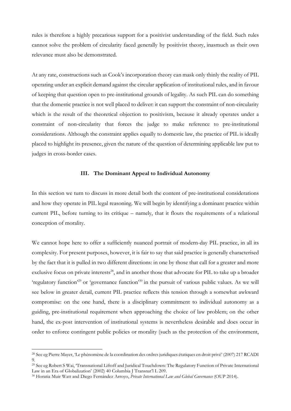rules is therefore a highly precarious support for a positivist understanding of the field. Such rules cannot solve the problem of circularity faced generally by positivist theory, inasmuch as their own relevance must also be demonstrated.

At any rate, constructions such as Cook's incorporation theory can mask only thinly the reality of PIL operating under an explicit demand against the circular application of institutional rules, and in favour of keeping that question open to pre-institutional grounds of legality. As such PIL can do something that the domestic practice is not well placed to deliver: it can support the constraint of non-circularity which is the result of the theoretical objection to positivism, because it already operates under a constraint of non-circularity that forces the judge to make reference to pre-institutional considerations. Although the constraint applies equally to domestic law, the practice of PIL is ideally placed to highlight its presence, given the nature of the question of determining applicable law put to judges in cross-border cases.

## III. The Dominant Appeal to Individual Autonomy

In this section we turn to discuss in more detail both the content of pre-institutional considerations and how they operate in PIL legal reasoning. We will begin by identifying a dominant practice within current PIL, before turning to its critique – namely, that it flouts the requirements of a relational conception of morality.

We cannot hope here to offer a sufficiently nuanced portrait of modern-day PIL practice, in all its complexity. For present purposes, however, it is fair to say that said practice is generally characterised by the fact that it is pulled in two different directions: in one by those that call for a greater and more exclusive focus on private interests<sup>28</sup>, and in another those that advocate for PIL to take up a broader 'regulatory function'<sup>29</sup> or 'governance function'<sup>30</sup> in the pursuit of various public values. As we will see below in greater detail, current PIL practice reflects this tension through a somewhat awkward compromise: on the one hand, there is a disciplinary commitment to individual autonomy as a guiding, pre-institutional requirement when approaching the choice of law problem; on the other hand, the ex-post intervention of institutional systems is nevertheless desirable and does occur in order to enforce contingent public policies or morality (such as the protection of the environment,

<sup>28</sup> See eg Pierre Mayer, 'Le phénomène de la coordination des ordres juridiques étatiques en droit privé' (2007) 217 RCADI 9.

<sup>29</sup> See eg Robert S Wai, 'Transnational Liftoff and Juridical Touchdown: The Regulatory Function of Private International Law in an Era of Globalization' (2002) 40 Columbia J Transnat'l L 209.

<sup>&</sup>lt;sup>30</sup> Horatia Muir Watt and Diego Fernández Arroyo, Private International Law and Global Governance (OUP 2014).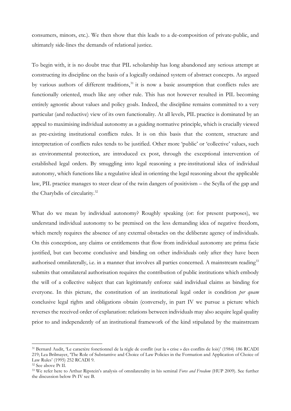consumers, minors, etc.). We then show that this leads to a de-composition of private-public, and ultimately side-lines the demands of relational justice.

To begin with, it is no doubt true that PIL scholarship has long abandoned any serious attempt at constructing its discipline on the basis of a logically ordained system of abstract concepts. As argued by various authors of different traditions,<sup>31</sup> it is now a basic assumption that conflicts rules are functionally oriented, much like any other rule. This has not however resulted in PIL becoming entirely agnostic about values and policy goals. Indeed, the discipline remains committed to a very particular (and reductive) view of its own functionality. At all levels, PIL practice is dominated by an appeal to maximising individual autonomy as a guiding normative principle, which is crucially viewed as pre-existing institutional conflicts rules. It is on this basis that the content, structure and interpretation of conflicts rules tends to be justified. Other more 'public' or 'collective' values, such as environmental protection, are introduced ex post, through the exceptional intervention of established legal orders. By smuggling into legal reasoning a pre-institutional idea of individual autonomy, which functions like a regulative ideal in orienting the legal reasoning about the applicable law, PIL practice manages to steer clear of the twin dangers of positivism – the Scylla of the gap and the Charybdis of circularity.<sup>32</sup>

What do we mean by individual autonomy? Roughly speaking (or: for present purposes), we understand individual autonomy to be premised on the less demanding idea of negative freedom, which merely requires the absence of any external obstacles on the deliberate agency of individuals. On this conception, any claims or entitlements that flow from individual autonomy are prima facie justified, but can become conclusive and binding on other individuals only after they have been authorised omnilaterally, i.e. in a manner that involves all parties concerned. A mainstream reading<sup>33</sup> submits that omnilateral authorisation requires the contribution of public institutions which embody the will of a collective subject that can legitimately enforce said individual claims as binding for everyone. In this picture, the constitution of an institutional legal order is condition per quam conclusive legal rights and obligations obtain (conversely, in part IV we pursue a picture which reverses the received order of explanation: relations between individuals may also acquire legal quality prior to and independently of an institutional framework of the kind stipulated by the mainstream

<sup>31</sup> Bernard Audit, 'Le caractère fonctionnel de la règle de conflit (sur la « crise » des conflits de lois)' (1984) 186 RCADI 219; Lea Brilmayer, 'The Role of Substantive and Choice of Law Policies in the Formation and Application of Choice of Law Rules' (1995) 252 RCADI 9.

<sup>32</sup> See above Pt II.

<sup>&</sup>lt;sup>33</sup> We refer here to Arthur Ripstein's analysis of omnilaterality in his seminal Force and Freedom (HUP 2009). See further the discussion below Pt IV sec B.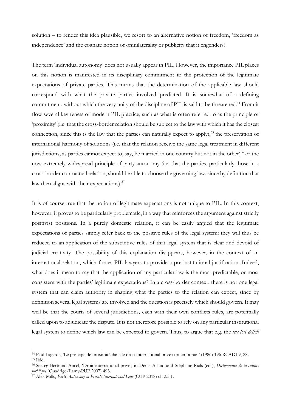solution – to render this idea plausible, we resort to an alternative notion of freedom, 'freedom as independence' and the cognate notion of omnilaterality or publicity that it engenders).

The term 'individual autonomy' does not usually appear in PIL. However, the importance PIL places on this notion is manifested in its disciplinary commitment to the protection of the legitimate expectations of private parties. This means that the determination of the applicable law should correspond with what the private parties involved predicted. It is somewhat of a defining commitment, without which the very unity of the discipline of PIL is said to be threatened.<sup>34</sup> From it flow several key tenets of modern PIL practice, such as what is often referred to as the principle of 'proximity' (i.e. that the cross-border relation should be subject to the law with which it has the closest connection, since this is the law that the parties can naturally expect to apply), $3<sup>5</sup>$  the preservation of international harmony of solutions (i.e. that the relation receive the same legal treatment in different jurisdictions, as parties cannot expect to, say, be married in one country but not in the other) $36$  or the now extremely widespread principle of party autonomy (i.e. that the parties, particularly those in a cross-border contractual relation, should be able to choose the governing law, since by definition that law then aligns with their expectations).<sup>37</sup>

It is of course true that the notion of legitimate expectations is not unique to PIL. In this context, however, it proves to be particularly problematic, in a way that reinforces the argument against strictly positivist positions. In a purely domestic relation, it can be easily argued that the legitimate expectations of parties simply refer back to the positive rules of the legal system: they will thus be reduced to an application of the substantive rules of that legal system that is clear and devoid of judicial creativity. The possibility of this explanation disappears, however, in the context of an international relation, which forces PIL lawyers to provide a pre-institutional justification. Indeed, what does it mean to say that the application of any particular law is the most predictable, or most consistent with the parties' legitimate expectations? In a cross-border context, there is not one legal system that can claim authority in shaping what the parties to the relation can expect, since by definition several legal systems are involved and the question is precisely which should govern. It may well be that the courts of several jurisdictions, each with their own conflicts rules, are potentially called upon to adjudicate the dispute. It is not therefore possible to rely on any particular institutional legal system to define which law can be expected to govern. Thus, to argue that e.g. the lex loci delicti

<sup>34</sup> Paul Lagarde, 'Le principe de proximité dans le droit international privé contemporain' (1986) 196 RCADI 9, 28. <sup>35</sup> Ibid.

<sup>&</sup>lt;sup>36</sup> See eg Bertrand Ancel, 'Droit international privé', in Denis Alland and Stéphane Rials (eds), Dictionnaire de la culture juridique (Quadrige/Lamy-PUF 2007) 493.

 $^{37}$  Alex Mills, Party Autonomy in Private International Law (CUP 2018) ch 2.3.1.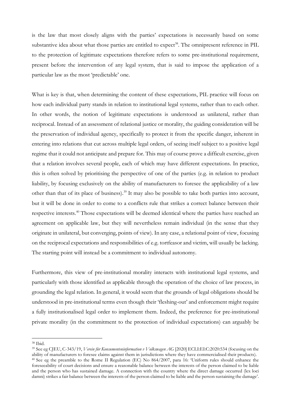is the law that most closely aligns with the parties' expectations is necessarily based on some substantive idea about what those parties are entitled to expect<sup>38</sup>. The omnipresent reference in PIL to the protection of legitimate expectations therefore refers to some pre-institutional requirement, present before the intervention of any legal system, that is said to impose the application of a particular law as the most 'predictable' one.

What is key is that, when determining the content of these expectations, PIL practice will focus on how each individual party stands in relation to institutional legal systems, rather than to each other. In other words, the notion of legitimate expectations is understood as unilateral, rather than reciprocal. Instead of an assessment of relational justice or morality, the guiding consideration will be the preservation of individual agency, specifically to protect it from the specific danger, inherent in entering into relations that cut across multiple legal orders, of seeing itself subject to a positive legal regime that it could not anticipate and prepare for. This may of course prove a difficult exercise, given that a relation involves several people, each of which may have different expectations. In practice, this is often solved by prioritising the perspective of one of the parties (e.g. in relation to product liability, by focusing exclusively on the ability of manufacturers to foresee the applicability of a law other than that of its place of business).<sup>39</sup> It may also be possible to take both parties into account, but it will be done in order to come to a conflicts rule that strikes a correct balance between their respective interests.<sup>40</sup> Those expectations will be deemed identical where the parties have reached an agreement on applicable law, but they will nevertheless remain individual (in the sense that they originate in unilateral, but converging, points of view). In any case, a relational point of view, focusing on the reciprocal expectations and responsibilities of e.g. tortfeasor and victim, will usually be lacking. The starting point will instead be a commitment to individual autonomy.

Furthermore, this view of pre-institutional morality interacts with institutional legal systems, and particularly with those identified as applicable through the operation of the choice of law process, in grounding the legal relation. In general, it would seem that the grounds of legal obligations should be understood in pre-institutional terms even though their 'fleshing-out' and enforcement might require a fully institutionalised legal order to implement them. Indeed, the preference for pre-institutional private morality (in the commitment to the protection of individual expectations) can arguably be

<sup>38</sup> Ibid.

<sup>&</sup>lt;sup>39</sup> See eg CJEU, C-343/19, Verein für Konsumenteninformation v Volkswagen AG [2020] ECLI:EI:C:2020:534 (focusing on the ability of manufacturers to foresee claims against them in jurisdictions where they have commercialised their products). <sup>40</sup> See eg the preamble to the Rome II Regulation (EC) No 864/2007, para 16: 'Uniform rules should enhance the foreseeability of court decisions and ensure a reasonable balance between the interests of the person claimed to be liable and the person who has sustained damage. A connection with the country where the direct damage occurred (lex loci damni) strikes a fair balance between the interests of the person claimed to be liable and the person sustaining the damage'.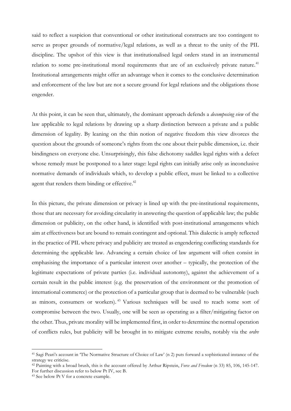said to reflect a suspicion that conventional or other institutional constructs are too contingent to serve as proper grounds of normative/legal relations, as well as a threat to the unity of the PIL discipline. The upshot of this view is that institutionalised legal orders stand in an instrumental relation to some pre-institutional moral requirements that are of an exclusively private nature.<sup>41</sup> Institutional arrangements might offer an advantage when it comes to the conclusive determination and enforcement of the law but are not a secure ground for legal relations and the obligations those engender.

At this point, it can be seen that, ultimately, the dominant approach defends a *decomposing view* of the law applicable to legal relations by drawing up a sharp distinction between a private and a public dimension of legality. By leaning on the thin notion of negative freedom this view divorces the question about the grounds of someone's rights from the one about their public dimension, i.e. their bindingness on everyone else. Unsurprisingly, this false dichotomy saddles legal rights with a defect whose remedy must be postponed to a later stage: legal rights can initially arise only as inconclusive normative demands of individuals which, to develop a public effect, must be linked to a collective agent that renders them binding or effective.<sup>42</sup>

In this picture, the private dimension or privacy is lined up with the pre-institutional requirements, those that are necessary for avoiding circularity in answering the question of applicable law; the public dimension or publicity, on the other hand, is identified with post-institutional arrangements which aim at effectiveness but are bound to remain contingent and optional. This dialectic is amply reflected in the practice of PIL where privacy and publicity are treated as engendering conflicting standards for determining the applicable law. Advancing a certain choice of law argument will often consist in emphasising the importance of a particular interest over another – typically, the protection of the legitimate expectations of private parties (i.e. individual autonomy), against the achievement of a certain result in the public interest (e.g. the preservation of the environment or the promotion of international commerce) or the protection of a particular group that is deemed to be vulnerable (such as minors, consumers or workers).<sup>43</sup> Various techniques will be used to reach some sort of compromise between the two. Usually, one will be seen as operating as a filter/mitigating factor on the other. Thus, private morality will be implemented first, in order to determine the normal operation of conflicts rules, but publicity will be brought in to mitigate extreme results, notably via the ordre

<sup>41</sup> Sagi Peari's account in 'The Normative Structure of Choice of Law' (n 2) puts forward a sophisticated instance of the strategy we criticise.

<sup>42</sup> Painting with a broad brush, this is the account offered by Arthur Ripstein, Force and Freedom (n 33) 85, 106, 145-147. For further discussion refer to below Pt IV, sec B.

<sup>43</sup> See below Pt V for a concrete example.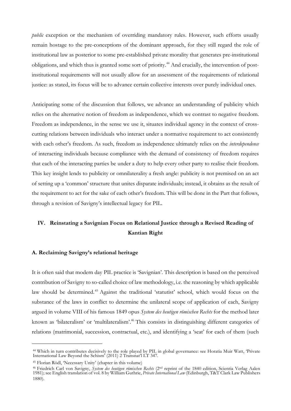*public* exception or the mechanism of overriding mandatory rules. However, such efforts usually remain hostage to the pre-conceptions of the dominant approach, for they still regard the role of institutional law as posterior to some pre-established private morality that generates pre-institutional obligations, and which thus is granted some sort of priority.44 And crucially, the intervention of postinstitutional requirements will not usually allow for an assessment of the requirements of relational justice: as stated, its focus will be to advance certain collective interests over purely individual ones.

Anticipating some of the discussion that follows, we advance an understanding of publicity which relies on the alternative notion of freedom as independence, which we contrast to negative freedom. Freedom as independence, in the sense we use it, situates individual agency in the context of crosscutting relations between individuals who interact under a normative requirement to act consistently with each other's freedom. As such, freedom as independence ultimately relies on the *interdependence* of interacting individuals because compliance with the demand of consistency of freedom requires that each of the interacting parties be under a duty to help every other party to realise their freedom. This key insight lends to publicity or omnilaterality a fresh angle: publicity is not premised on an act of setting up a 'common' structure that unites disparate individuals; instead, it obtains as the result of the requirement to act for the sake of each other's freedom. This will be done in the Part that follows, through a revision of Savigny's intellectual legacy for PIL.

# IV. Reinstating a Savignian Focus on Relational Justice through a Revised Reading of Kantian Right

### A. Reclaiming Savigny's relational heritage

It is often said that modern day PIL practice is 'Savignian'. This description is based on the perceived contribution of Savigny to so-called choice of law methodology, i.e. the reasoning by which applicable law should be determined.<sup>45</sup> Against the traditional 'statutist' school, which would focus on the substance of the laws in conflict to determine the unilateral scope of application of each, Savigny argued in volume VIII of his famous 1849 opus System des heutigen römischen Rechts for the method later known as 'bilateralism' or 'multilateralism'.<sup>46</sup> This consists in distinguishing different categories of relations (matrimonial, succession, contractual, etc.), and identifying a 'seat' for each of them (such

<sup>44</sup> Which in turn contributes decisively to the role played by PIL in global governance: see Horatia Muir Watt, 'Private International Law Beyond the Schism' (2011) 2 Transnat'l LT 347.

<sup>45</sup> Florian Rödl, 'Necessary Unity' (chapter in this volume)

<sup>&</sup>lt;sup>46</sup> Friedrich Carl von Savigny, System des heutigen römischen Rechts (2<sup>nd</sup> reprint of the 1840 edition, Scientia Verlag Aalen 1981); see English translation of vol. 8 by William Guthrie, Private International Law (Edinburgh, T&T Clark Law Publishers 1880).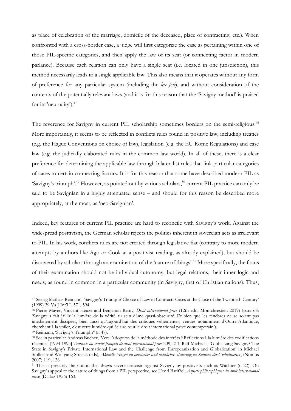as place of celebration of the marriage, domicile of the deceased, place of contracting, etc.). When confronted with a cross-border case, a judge will first categorize the case as pertaining within one of those PIL-specific categories, and then apply the law of its seat (or connecting factor in modern parlance). Because each relation can only have a single seat (i.e. located in one jurisdiction), this method necessarily leads to a single applicable law. This also means that it operates without any form of preference for any particular system (including the lex fori), and without consideration of the contents of the potentially relevant laws (and it is for this reason that the 'Savigny method' is praised for its 'neutrality').<sup>47</sup>

The reverence for Savigny in current PIL scholarship sometimes borders on the semi-religious.<sup>48</sup> More importantly, it seems to be reflected in conflicts rules found in positive law, including treaties (e.g. the Hague Conventions on choice of law), legislation (e.g. the EU Rome Regulations) and case law (e.g. the judicially elaborated rules in the common law world). In all of these, there is a clear preference for determining the applicable law through bilateralist rules that link particular categories of cases to certain connecting factors. It is for this reason that some have described modern PIL as 'Savigny's triumph'.<sup>49</sup> However, as pointed out by various scholars,<sup>50</sup> current PIL practice can only be said to be Savignian in a highly attenuated sense – and should for this reason be described more appropriately, at the most, as 'neo-Savignian'.

Indeed, key features of current PIL practice are hard to reconcile with Savigny's work. Against the widespread positivism, the German scholar rejects the politics inherent in sovereign acts as irrelevant to PIL. In his work, conflicts rules are not created through legislative fiat (contrary to more modern attempts by authors like Ago or Cook at a positivist reading, as already explained), but should be discovered by scholars through an examination of the 'nature of things'.<sup>51</sup> More specifically, the focus of their examination should not be individual autonomy, but legal relations, their inner logic and needs, as found in common in a particular community (in Savigny, that of Christian nations). Thus,

<sup>47</sup> See eg Mathias Reimann, 'Savigny's Triumph? Choice of Law in Contracts Cases at the Close of the Twentieth Century' (1999) 39 Va J Int'l L 571, 594.

<sup>&</sup>lt;sup>48</sup> Pierre Mayer, Vincent Heuzé and Benjamin Remy, *Droit international privé* (12th edn, Montchrestien 2019) (para 68: 'Savigny a fait jaillir la lumière de la vérité au sein d'une quasi-obscurité. Et bien que les ténèbres ne se soient pas imédiatement dissipées, bien aussi qu'aujourd'hui des critiques véhémentes, venues notamment d'Outre-Atlantique, cherchent à la voiler, c'est cette lumière qui éclaire tout le droit international privé contemporain').

<sup>49</sup> Reimann, 'Savigny's Triumph?' (n 47).

<sup>50</sup> See in particular Andreas Bucher, 'Vers l'adoption de la méthode des intérêts ? Réflexions à la lumière des codifications récentes' [1994-1995] Travaux du comité français de droit international privé 209, 211; Ralf Michaels, 'Globalizing Savigny? The State in Savigny's Private International Law and the Challenge from Europeanization and Globalization' in Michael Stolleis and Wolfgang Streeck (eds), Aktuelle Fragen zu politischer und rechtlicher Steuerung im Kontext der Globalisierung (Nomos 2007) 119, 126.

<sup>51</sup> This is precisely the notion that draws severe criticism against Savigny by positivists such as Wächter (n 22). On Savigny's appeal to the nature of things from a PIL perspective, see Henri Batiffol, Aspects philosophiques du droit international privé (Dalloz 1956) 163.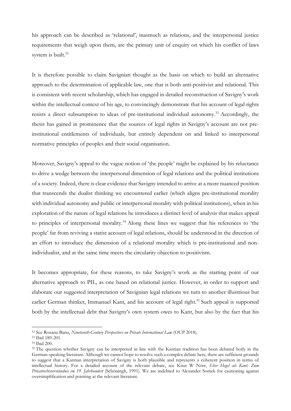his approach can be described as 'relational', inasmuch as relations, and the interpersonal justice requirements that weigh upon them, are the primary unit of enquiry on which his conflict of laws system is built.<sup>52</sup>

It is therefore possible to claim Savignian thought as the basis on which to build an alternative approach to the determination of applicable law, one that is both anti-positivist and relational. This is consistent with recent scholarship, which has engaged in detailed reconstruction of Savigny's work within the intellectual context of his age, to convincingly demonstrate that his account of legal rights resists a direct subsumption to ideas of pre-institutional individual autonomy.<sup>53</sup> Accordingly, the thesis has gained in prominence that the sources of legal rights in Savigny's account are not preinstitutional entitlements of individuals, but entirely dependent on and linked to interpersonal normative principles of peoples and their social organisation.

Moreover, Savigny's appeal to the vague notion of 'the people' might be explained by his reluctance to drive a wedge between the interpersonal dimension of legal relations and the political institutions of a society. Indeed, there is clear evidence that Savigny intended to arrive at a more nuanced position that transcends the dualist thinking we encountered earlier (which aligns pre-institutional morality with individual autonomy and public or interpersonal morality with political institutions), when in his exploration of the nature of legal relations he introduces a distinct level of analysis that makes appeal to principles of interpersonal morality.<sup>54</sup> Along these lines we suggest that his references to 'the people' far from reviving a statist account of legal relations, should be understood in the direction of an effort to introduce the dimension of a relational morality which is pre-institutional and nonindividualist, and at the same time meets the circularity objection to positivism.

It becomes appropriate, for these reasons, to take Savigny's work as the starting point of our alternative approach to PIL, as one based on relational justice. However, in order to support and elaborate our suggested interpretation of Savignian legal relations we turn to another illustrious but earlier German thinker, Immanuel Kant, and his account of legal right.<sup>55</sup> Such appeal is supported both by the intellectual debt that Savigny's own system owes to Kant, but also by the fact that his

<sup>52</sup> See Roxana Banu, Nineteenth-Century Perspectives on Private International Law (OUP 2018).

<sup>53</sup> Ibid 189-201.

<sup>54</sup> Ibid 200.

<sup>55</sup> The question whether Savigny can be interpreted in line with the Kantian tradition has been debated hotly in the German-speaking literature. Although we cannot hope to resolve such a complex debate here, there are sufficient grounds to suggest that a Kantian interpretation of Savigny is both plausible and represents a coherent position in terms of intellectual history. For a detailed account of the relevant debate, see Knut W Nörr, Eher Hegel als Kant: Zum Privatrechtsverständnis im 19. Jahrhundert (Schöningh, 1991). We are indebted to Alexander Somek for cautioning against oversimplification and pointing at the relevant literature.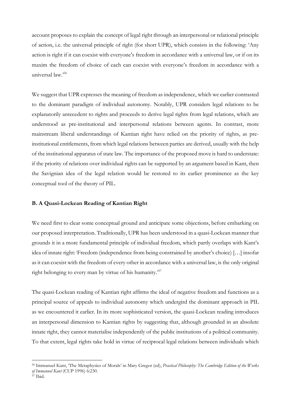account proposes to explain the concept of legal right through an interpersonal or relational principle of action, i.e. the universal principle of right (for short UPR), which consists in the following: 'Any action is right if it can coexist with everyone's freedom in accordance with a universal law, or if on its maxim the freedom of choice of each can coexist with everyone's freedom in accordance with a universal law.'<sup>56</sup>

We suggest that UPR expresses the meaning of freedom as independence, which we earlier contrasted to the dominant paradigm of individual autonomy. Notably, UPR considers legal relations to be explanatorily antecedent to rights and proceeds to derive legal rights from legal relations, which are understood as pre-institutional and interpersonal relations between agents. In contrast, more mainstream liberal understandings of Kantian right have relied on the priority of rights, as preinstitutional entitlements, from which legal relations between parties are derived, usually with the help of the institutional apparatus of state law. The importance of the proposed move is hard to understate: if the priority of relations over individual rights can be supported by an argument based in Kant, then the Savignian idea of the legal relation would be restored to its earlier prominence as the key conceptual tool of the theory of PIL.

### B. A Quasi-Lockean Reading of Kantian Right

We need first to clear some conceptual ground and anticipate some objections, before embarking on our proposed interpretation. Traditionally, UPR has been understood in a quasi-Lockean manner that grounds it in a more fundamental principle of individual freedom, which partly overlaps with Kant's idea of innate right: 'Freedom (independence from being constrained by another's choice) […] insofar as it can coexist with the freedom of every other in accordance with a universal law, is the only original right belonging to every man by virtue of his humanity.'<sup>57</sup>

The quasi-Lockean reading of Kantian right affirms the ideal of negative freedom and functions as a principal source of appeals to individual autonomy which undergird the dominant approach in PIL as we encountered it earlier. In its more sophisticated version, the quasi-Lockean reading introduces an interpersonal dimension to Kantian rights by suggesting that, although grounded in an absolute innate right, they cannot materialise independently of the public institutions of a political community. To that extent, legal rights take hold in virtue of reciprocal legal relations between individuals which

<sup>56</sup> Immanuel Kant, 'The Metaphysics of Morals' in Mary Gregor (ed), Practical Philosophy: The Cambridge Edition of the Works of Immanuel Kant (CUP 1996) 6:230.

<sup>&</sup>lt;sup>57</sup> Ibid.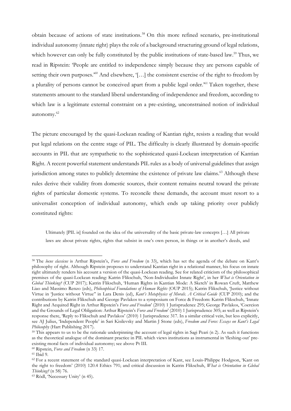obtain because of actions of state institutions.<sup>58</sup> On this more refined scenario, pre-institutional individual autonomy (innate right) plays the role of a background structuring ground of legal relations, which however can only be fully constituted by the public institutions of state-based law.<sup>59</sup> Thus, we read in Ripstein: 'People are entitled to independence simply because they are persons capable of setting their own purposes.<sup>'60</sup> And elsewhere, '[...] the consistent exercise of the right to freedom by a plurality of persons cannot be conceived apart from a public legal order.<sup>361</sup> Taken together, these statements amount to the standard liberal understanding of independence and freedom, according to which law is a legitimate external constraint on a pre-existing, unconstrained notion of individual autonomy.<sup>62</sup>

The picture encouraged by the quasi-Lockean reading of Kantian right, resists a reading that would put legal relations on the centre stage of PIL. The difficulty is clearly illustrated by domain-specific accounts in PIL that are sympathetic to the sophisticated quasi-Lockean interpretation of Kantian Right. A recent powerful statement understands PIL rules as a body of universal guidelines that assign jurisdiction among states to publicly determine the existence of private law claims.<sup>63</sup> Although these rules derive their validity from domestic sources, their content remains neutral toward the private rights of particular domestic systems. To reconcile these demands, the account must resort to a universalist conception of individual autonomy, which ends up taking priority over publicly constituted rights:

Ultimately [PIL is] founded on the idea of the universality of the basic private-law concepts […] All private laws are about private rights, rights that subsist in one's own person, in things or in another's deeds, and

<sup>&</sup>lt;sup>58</sup> The locus classicus is Arthur Ripstein's, Force and Freedom (n 33), which has set the agenda of the debate on Kant's philosophy of right. Although Ripstein proposes to understand Kantian right in a relational manner, his focus on innate right ultimately renders his account a version of the quasi-Lockean reading. See for related criticism of the philosophical premises of the quasi-Lockean reading: Katrin Flikschuh, 'Non-Individualist Innate Right', in her What is Orientation in Global Thinking? (CUP 2017); Katrin Flikschuh, 'Human Rights in Kantian Mode: A Sketch' in Rowan Cruft, Matthew Liao and Massimo Renzo (eds), *Philosophical Foundations of Human Rights* (OUP 2015); Katrin Flikschuh, 'Justice without Virtue in 'Justice without Virtue'' in Lara Denis (ed), Kant's Metaphysics of Morals. A Critical Guide (CUP 2010); and the contributions by Katrin Flikschuh and George Pavlakos to a symposium on Force & Freedom: Katrin Flikschuh, 'Innate Right and Acquired Right in Arthur Ripstein's Force and Freedom' (2010) 1 Jurisprudence 295; George Pavlakos, 'Coercion and the Grounds of Legal Obligation: Arthur Ripstein's Force and Freedom' (2010) 1 Jurisprudence 305; as well as Ripstein's response there, 'Reply to Flikschuh and Pavlakos' (2010) 1 Jurisprudence 317. In a similar critical vein, but less explicitly, see AJ Julius, 'Independent People' in Sari Kisilevsky and Martin J Stone (eds), Freedom and Force: Essays on Kant's Legal Philosophy (Hart Publishing 2017).

<sup>&</sup>lt;sup>59</sup> This appears to us to be the rationale underpinning the account of legal rights in Sagi Peari (n 2). As such it functions as the theoretical analogue of the dominant practice in PIL which views institutions as instrumental in 'fleshing-out' preexisting moral facts of individual autonomy; see above Pt III.

<sup>60</sup> Ripstein, Force and Freedom (n 33) 17.

<sup>61</sup> Ibid 9.

<sup>&</sup>lt;sup>62</sup> For a recent statement of the standard quasi-Lockean interpretation of Kant, see Louis-Philippe Hodgson, 'Kant on the right to freedom' (2010) 120.4 Ethics 791; and critical discussion in Katrin Flikschuh, What is Orientation in Global Thinking? (n 58) 76.

<sup>63</sup> Rödl, 'Necessary Unity' (n 45).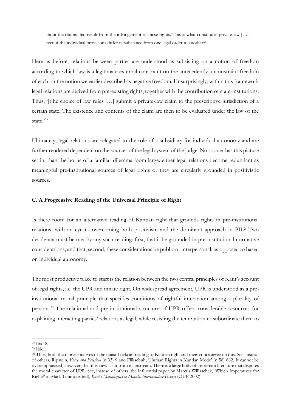about the claims that result from the infringement of these rights. This is what constitutes private law […], even if the individual provisions differ in substance from one legal order to another<sup>64</sup>

Here as before, relations between parties are understood as subsisting on a notion of freedom according to which law is a legitimate external constraint on the antecedently unconstraint freedom of each, or the notion we earlier described as negative freedom. Unsurprisingly, within this framework legal relations are derived from pre-existing rights, together with the contribution of state-institutions. Thus, '[t]he choice of law rules [...] submit a private-law claim to the prescriptive jurisdiction of a certain state. The existence and contents of the claim are then to be evaluated under the law of the state."

Ultimately, legal relations are relegated to the role of a subsidiary for individual autonomy and are further rendered dependent on the sources of the legal system of the judge. No sooner has this picture set in, than the horns of a familiar dilemma loom large: either legal relations become redundant as meaningful pre-institutional sources of legal rights or they are circularly grounded in positivistic sources.

## C. A Progressive Reading of the Universal Principle of Right

Is there room for an alternative reading of Kantian right that grounds rights in pre-institutional relations, with an eye to overcoming both positivism and the dominant approach in PIL? Two desiderata must be met by any such reading: first, that it be grounded in pre-institutional normative considerations; and that, second, these considerations be public or interpersonal, as opposed to based on individual autonomy.

The most productive place to start is the relation between the two central principles of Kant's account of legal rights, i.e. the UPR and innate right. On widespread agreement, UPR is understood as a preinstitutional moral principle that specifies conditions of rightful interaction among a plurality of persons.<sup>66</sup> The relational and pre-institutional structure of UPR offers considerable resources for explaining interacting parties' relations as legal, while resisting the temptation to subordinate them to

<sup>64</sup> Ibid 8.

<sup>65</sup> Ibid.

<sup>66</sup> Thus, both the representatives of the quasi-Lockean reading of Kantian right and their critics agree on this. See, instead of others, Ripstein, Force and Freedom (n 33) 9 and Flikschuh, 'Human Rights in Kantian Mode' (n 58) 662. It cannot be overemphasised, however, that this view is far from mainstream. There is a large body of important literature that disputes the moral character of UPR. See, instead of others, the influential paper by Marcus Willaschek, 'Which Imperatives for Right?' in Mark Timmons (ed), Kant's Metaphysics of Morals. Interpretative Essays (OUP 2002).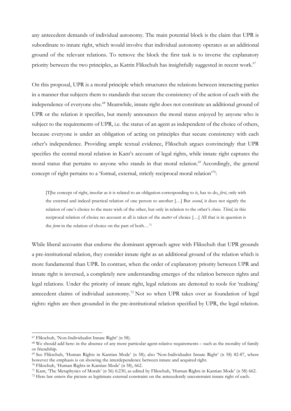any antecedent demands of individual autonomy. The main potential block is the claim that UPR is subordinate to innate right, which would involve that individual autonomy operates as an additional ground of the relevant relations. To remove the block the first task is to inverse the explanatory priority between the two principles, as Katrin Flikschuh has insightfully suggested in recent work.<sup>67</sup>

On this proposal, UPR is a moral principle which structures the relations between interacting parties in a manner that subjects them to standards that secure the consistency of the action of each with the independence of everyone else.<sup>68</sup> Meanwhile, innate right does not constitute an additional ground of UPR or the relation it specifies, but merely announces the moral status enjoyed by anyone who is subject to the requirements of UPR, i.e. the status of an agent as independent of the choice of others, because everyone is under an obligation of acting on principles that secure consistency with each other's independence. Providing ample textual evidence, Flikschuh argues convincingly that UPR specifies the central moral relation in Kant's account of legal rights, while innate right captures the moral status that pertains to anyone who stands in that moral relation.<sup>69</sup> Accordingly, the general concept of right pertains to a 'formal, external, strictly reciprocal moral relation'<sup>70</sup>:

[T]he concept of right, insofar as it is related to an obligation corresponding to it, has to do, first, only with the external and indeed practical relation of one person to another [...] But second, it does not signify the relation of one's choice to the mere wish of the other, but only in relation to the other's choice. Third, in this reciprocal relation of choice no account at all is taken of the *matter* of choice [...] All that is in question is the form in the relation of choice on the part of both…<sup>71</sup>

While liberal accounts that endorse the dominant approach agree with Flikschuh that UPR grounds a pre-institutional relation, they consider innate right as an additional ground of the relation which is more fundamental than UPR. In contrast, when the order of explanatory priority between UPR and innate right is inversed, a completely new understanding emerges of the relation between rights and legal relations. Under the priority of innate right, legal relations are demoted to tools for 'realising' antecedent claims of individual autonomy.<sup>72</sup> Not so when UPR takes over as foundation of legal rights: rights are then grounded in the pre-institutional relation specified by UPR, the legal relation.

<sup>67</sup> Flikschuh, 'Non-Individualist Innate Right' (n 58).

<sup>68</sup> We should add here: in the absence of any more particular agent-relative requirements – such as the morality of family or friendship.

<sup>69</sup> See Flikschuh, 'Human Rights in Kantian Mode' (n 58); also 'Non-Individualist Innate Right' (n 58) 82-87, where however the emphasis is on showing the interdependence between innate and acquired right.

<sup>70</sup> Flikschuh, 'Human Rights in Kantian Mode' (n 58), 662.

<sup>71</sup> Kant, 'The Metaphysics of Morals' (n 56) 6:230, as edited by Flikschuh, 'Human Rights in Kantian Mode' (n 58) 662.

<sup>&</sup>lt;sup>72</sup> Here law enters the picture as legitimate external constraint on the antecedently unconstraint innate right of each.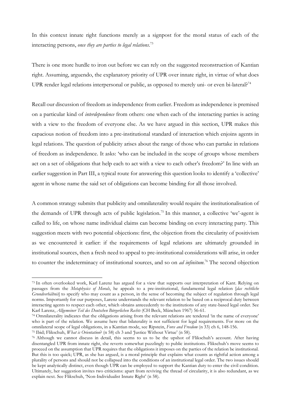In this context innate right functions merely as a signpost for the moral status of each of the interacting persons, once they are parties to legal relations.<sup>73</sup>

There is one more hurdle to iron out before we can rely on the suggested reconstruction of Kantian right. Assuming, arguendo, the explanatory priority of UPR over innate right, in virtue of what does UPR render legal relations interpersonal or public, as opposed to merely uni- or even bi-lateral?<sup>74</sup>

Recall our discussion of freedom as independence from earlier. Freedom as independence is premised on a particular kind of interdependence from others: one when each of the interacting parties is acting with a view to the freedom of everyone else. As we have argued in this section, UPR makes this capacious notion of freedom into a pre-institutional standard of interaction which enjoins agents in legal relations. The question of publicity arises about the range of those who can partake in relations of freedom as independence. It asks: 'who can be included in the scope of groups whose members act on a set of obligations that help each to act with a view to each other's freedom?' In line with an earlier suggestion in Part III, a typical route for answering this question looks to identify a 'collective' agent in whose name the said set of obligations can become binding for all those involved.

A common strategy submits that publicity and omnilaterality would require the institutionalisation of the demands of UPR through acts of public legislation.<sup>75</sup> In this manner, a collective 'we'-agent is called to life, on whose name individual claims can become binding on every interacting party. This suggestion meets with two potential objections: first, the objection from the circularity of positivism as we encountered it earlier: if the requirements of legal relations are ultimately grounded in institutional sources, then a fresh need to appeal to pre-institutional considerations will arise, in order to counter the indeterminacy of institutional sources, and so on *ad infinitum*.<sup>76</sup> The second objection

<sup>73</sup> In often overlooked work, Karl Larenz has argued for a view that supports our interpretation of Kant. Relying on passages from the Metaphysics of Morals, he appeals to a pre-institutional, fundamental legal relation [das rechtliche Grundverhältnis] to specify who may count as a person, in the sense of becoming the subject of regulation through legal norms. Importantly for our purposes, Larenz understands the relevant relation to be based on a reciprocal duty between interacting agents to respect each other, which obtains antecedently to the institutions of any state-based legal order. See Karl Larenz, Allgemeiner Teil des Deutschen Bürgerlichen Rechts (CH Beck, München 1967) 56-61.

<sup>74</sup> Omnilaterality indicates that the obligations arising from the relevant relations are tendered 'in the name of everyone' who is part of the relation. We assume here that bilaterality is not sufficient for legal requirements. For more on the omnilateral scope of legal obligations, in a Kantian mode, see Ripstein, Force and Freedom (n 33) ch 6, 148-156. <sup>75</sup> Ibid; Flikschuh, *What is Orientation*? (n 58) ch 3 and 'Justice Without Virtue' (n 58).

<sup>76</sup> Although we cannot discuss in detail, this seems to us to be the upshot of Flikschuh's account. After having disentangled UPR from innate right, she reverts somewhat puzzlingly to public institutions. Flikschuh's move seems to proceed on the assumption that UPR requires that the obligations it imposes on the parties of the relation be institutional. But this is too quick; UPR, as she has argued, is a moral principle that explains what counts as rightful action among a plurality of persons and should not be collapsed into the conditions of an institutional legal order. The two issues should be kept analytically distinct, even though UPR can be employed to support the Kantian duty to enter the civil condition. Ultimately, her suggestion invites two criticisms: apart from reviving the thread of circularity, it is also redundant, as we explain next. See Flikschuh, 'Non-Individualist Innate Right' (n 58).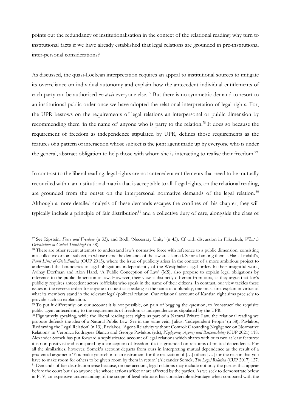points out the redundancy of institutionalisation in the context of the relational reading: why turn to institutional facts if we have already established that legal relations are grounded in pre-institutional inter-personal considerations?

As discussed, the quasi-Lockean interpretation requires an appeal to institutional sources to mitigate its overreliance on individual autonomy and explain how the antecedent individual entitlements of each party can be authorised *vis-à-vis* everyone else.<sup>77</sup> But there is no symmetric demand to resort to an institutional public order once we have adopted the relational interpretation of legal rights. For, the UPR bestows on the requirements of legal relations an interpersonal or public dimension by recommending them 'in the name of' anyone who is party to the relation.<sup>78</sup> It does so because the requirement of freedom as independence stipulated by UPR, defines those requirements as the features of a pattern of interaction whose subject is the joint agent made up by everyone who is under the general, abstract obligation to help those with whom she is interacting to realise their freedom.<sup>79</sup>

In contrast to the liberal reading, legal rights are not antecedent entitlements that need to be mutually reconciled within an institutional matrix that is acceptable to all. Legal rights, on the relational reading, are grounded from the outset on the interpersonal normative demands of the legal relation.<sup>80</sup> Although a more detailed analysis of these demands escapes the confines of this chapter, they will typically include a principle of fair distribution<sup>81</sup> and a collective duty of care, alongside the class of

<sup>77</sup> See Ripstein, Force and Freedom (n 33); and Rödl, 'Necessary Unity' (n 45). Cf with discussion in Flikschuh, What is Orientation in Global Thinking? (n 58).

<sup>78</sup> There are other recent attempts to understand law's normative force with reference to a public dimension, consisting in a collective or joint subject, in whose name the demands of the law are claimed. Seminal among them is Hans Lindahl's, Fault Lines of Globalisation (OUP 2013), where the issue of publicity arises in the context of a more ambitious project to understand the boundaries of legal obligations independently of the Westphalian legal order. In their insightful work, Avihay Dorfman and Alon Harel, 'A Public Conception of Law' (MS), also propose to explain legal obligations by reference to the public dimension of law. However, their view is distinctly different from ours, as they argue that law's publicity requires antecedent actors (officials) who speak in the name of their citizens. In contrast, our view tackles these issues in the reverse order: for anyone to count as speaking in the name of a plurality, one must first explain in virtue of what its members stand in the relevant legal/political relation. Our relational account of Kantian right aims precisely to provide such an explanation.

 $79$  To put it differently: on our account it is not possible, on pain of begging the question, to 'construct' the requisite public agent antecedently to the requirements of freedom as independence as stipulated by the UPR.

<sup>80</sup> Figuratively speaking, while the liberal reading sees rights as part of a Natural Private Law, the relational reading we propose defends the idea of a Natural Public Law. See in the same vein, Julius, 'Independent People' (n 58); Pavlakos, 'Redrawing the Legal Relation' (n 13); Pavlakos, 'Agent-Relativity without Control: Grounding Negligence on Normative Relations' in Veronica Rodriguez-Blanco and George Pavlakos (eds), Negligence, Agency and Responsibility (CUP 2021) 118. Alexander Somek has put forward a sophisticated account of legal relations which shares with ours two at least features: it is non-positivist and is inspired by a conception of freedom that is grounded on relations of mutual dependence. For all the similarities, however, Somek's account departs from ours in interpreting mutual dependence as the result of a prudential argument: 'You make yourself into an instrument for the realization of […] others […] for the reason that you have to make room for others to be given room by them in return' (Alexander Somek, The Legal Relation (CUP 2017) 127. <sup>81</sup> Demands of fair distribution arise because, on our account, legal relations may include not only the parties that appear before the court but also anyone else whose actions affect or are affected by the parties. As we seek to demonstrate below in Pt V, an expansive understanding of the scope of legal relations has considerable advantage when compared with the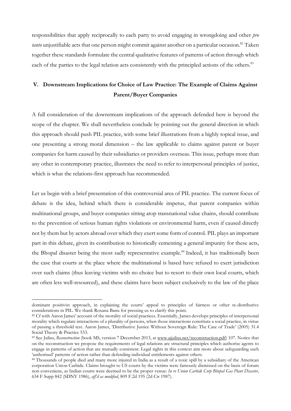responsibilities that apply reciprocally to each party to avoid engaging in wrongdoing and other *pro* tanto unjustifiable acts that one person might commit against another on a particular occasion.<sup>82</sup> Taken together these standards formulate the central qualitative features of patterns of action through which each of the parties to the legal relation acts consistently with the principled actions of the others.<sup>83</sup>

# V. Downstream Implications for Choice of Law Practice: The Example of Claims Against Parent/Buyer Companies

A full consideration of the downstream implications of the approach defended here is beyond the scope of the chapter. We shall nevertheless conclude by pointing out the general direction in which this approach should push PIL practice, with some brief illustrations from a highly topical issue, and one presenting a strong moral dimension – the law applicable to claims against parent or buyer companies for harm caused by their subsidiaries or providers overseas. This issue, perhaps more than any other in contemporary practice, illustrates the need to refer to interpersonal principles of justice, which is what the relations-first approach has recommended.

Let us begin with a brief presentation of this controversial area of PIL practice. The current focus of debate is the idea, behind which there is considerable impetus, that parent companies within multinational groups, and buyer companies sitting atop transnational value chains, should contribute to the prevention of serious human rights violations or environmental harm, even if caused directly not by them but by actors abroad over which they exert some form of control. PIL plays an important part in this debate, given its contribution to historically cementing a general impunity for these acts, the Bhopal disaster being the most sadly representative example.<sup>84</sup> Indeed, it has traditionally been the case that courts at the place where the multinational is based have refused to exert jurisdiction over such claims (thus leaving victims with no choice but to resort to their own local courts, which are often less well-resourced), and these claims have been subject exclusively to the law of the place

dominant positivist approach, in explaining the courts' appeal to principles of fairness or other re-distributive considerations in PIL. We thank Roxana Banu for pressing us to clarify this point.

<sup>&</sup>lt;sup>82</sup> Cf with Aaron James' account of the morality of social practices. Essentially, James develops principles of interpersonal morality which regulate interactions of a plurality of persons, when those interactions constitute a social practice, in virtue of passing a threshold test. Aaron James, 'Distributive Justice Without Sovereign Rule: The Case of Trade' (2005) 31.4 Social Theory & Practice 533.

<sup>83</sup> See Julius, Reconstruction (book MS, version 7 December 2013, at www.ajjulius.net/reconstruction.pdf) 107. Notice that on the reconstruction we propose the requirements of legal relations are structural principles which authorise agents to engage in patterns of action that are mutually consistent. Legal rights in this context aim more about safeguarding such 'authorised' patterns of action rather than defending individual entitlements against others.

<sup>84</sup> Thousands of people died and many more injured in India as a result of a toxic spill by a subsidiary of the American corporation Union Carbide. Claims brought to US courts by the victims were famously dismissed on the basis of forum non conveniens, as Indian courts were deemed to be the proper venue: In re Union Carbide Corp Bhopal Gas Plant Disaster, 634 F Supp 842 (SDNY 1986), aff'd as modified, 809 F.2d 195 (2d Cir 1987).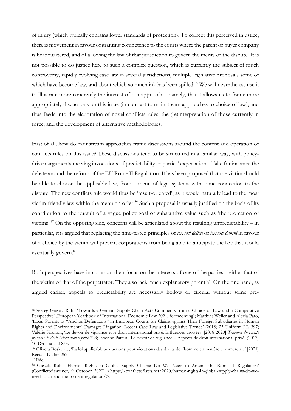of injury (which typically contains lower standards of protection). To correct this perceived injustice, there is movement in favour of granting competence to the courts where the parent or buyer company is headquartered, and of allowing the law of that jurisdiction to govern the merits of the dispute. It is not possible to do justice here to such a complex question, which is currently the subject of much controversy, rapidly evolving case law in several jurisdictions, multiple legislative proposals some of which have become law, and about which so much ink has been spilled.<sup>85</sup> We will nevertheless use it to illustrate more concretely the interest of our approach – namely, that it allows us to frame more appropriately discussions on this issue (in contrast to mainstream approaches to choice of law), and thus feeds into the elaboration of novel conflicts rules, the (re)interpretation of those currently in force, and the development of alternative methodologies.

First of all, how do mainstream approaches frame discussions around the content and operation of conflicts rules on this issue? These discussions tend to be structured in a familiar way, with policydriven arguments meeting invocations of predictability or parties' expectations. Take for instance the debate around the reform of the EU Rome II Regulation. It has been proposed that the victim should be able to choose the applicable law, from a menu of legal systems with some connection to the dispute. The new conflicts rule would thus be 'result-oriented', as it would naturally lead to the most victim-friendly law within the menu on offer.<sup>86</sup> Such a proposal is usually justified on the basis of its contribution to the pursuit of a vague policy goal or substantive value such as 'the protection of victims'.<sup>87</sup> On the opposing side, concerns will be articulated about the resulting unpredictability – in particular, it is argued that replacing the time-tested principles of lex loci delicti or lex loci damni in favour of a choice by the victim will prevent corporations from being able to anticipate the law that would eventually govern.<sup>88</sup>

Both perspectives have in common their focus on the interests of one of the parties – either that of the victim of that of the perpetrator. They also lack much explanatory potential. On the one hand, as argued earlier, appeals to predictability are necessarily hollow or circular without some pre-

<sup>85</sup> See eg Giesela Rühl, 'Towards a German Supply Chain Act? Comments from a Choice of Law and a Comparative Perspective' (European Yearbook of International Economic Law 2021, forthcoming); Matthias Weller and Alexia Pato, 'Local Parents as "Anchor Defendants" in European Courts for Claims against Their Foreign Subsidiaries in Human Rights and Environmental Damages Litigation: Recent Case Law and Legislative Trends' (2018) 23 Uniform LR 397; Valérie Pironon, 'Le devoir de vigilance et le droit international privé. Influences croisées' [2018-2020] Travaux du comité français de droit international privé 223; Etienne Pataut, 'Le devoir de vigilance – Aspects de droit international privé' (2017) 10 Droit social 833.

<sup>86</sup> Olivera Boskovic, 'La loi applicable aux actions pour violations des droits de l'homme en matière commerciale' [2021] Recueil Dalloz 252.

<sup>87</sup> Ibid.

<sup>88</sup> Giesela Ruhl, 'Human Rights in Global Supply Chains: Do We Need to Amend the Rome II Regulation' (Conflictoflaws.net, 9 October 2020) <https://conflictoflaws.net/2020/human-rights-in-global-supply-chains-do-weneed-to-amend-the-rome-ii-regulation/>.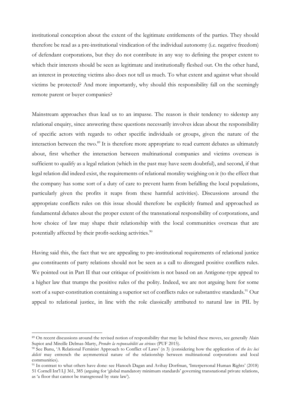institutional conception about the extent of the legitimate entitlements of the parties. They should therefore be read as a pre-institutional vindication of the individual autonomy (i.e. negative freedom) of defendant corporations, but they do not contribute in any way to defining the proper extent to which their interests should be seen as legitimate and institutionally fleshed out. On the other hand, an interest in protecting victims also does not tell us much. To what extent and against what should victims be protected? And more importantly, why should this responsibility fall on the seemingly remote parent or buyer companies?

Mainstream approaches thus lead us to an impasse. The reason is their tendency to sidestep any relational enquiry, since answering these questions necessarily involves ideas about the responsibility of specific actors with regards to other specific individuals or groups, given the nature of the interaction between the two.<sup>89</sup> It is therefore more appropriate to read current debates as ultimately about, first whether the interaction between multinational companies and victims overseas is sufficient to qualify as a legal relation (which in the past may have seem doubtful), and second, if that legal relation did indeed exist, the requirements of relational morality weighing on it (to the effect that the company has some sort of a duty of care to prevent harm from befalling the local populations, particularly given the profits it reaps from these harmful activities). Discussions around the appropriate conflicts rules on this issue should therefore be explicitly framed and approached as fundamental debates about the proper extent of the transnational responsibility of corporations, and how choice of law may shape their relationship with the local communities overseas that are potentially affected by their profit-seeking activities.<sup>90</sup>

Having said this, the fact that we are appealing to pre-institutional requirements of relational justice qua constituents of party relations should not be seen as a call to disregard positive conflicts rules. We pointed out in Part II that our critique of positivism is not based on an Antigone-type appeal to a higher law that trumps the positive rules of the polity. Indeed, we are not arguing here for some sort of a super-constitution containing a superior set of conflicts rules or substantive standards.<sup>91</sup> Our appeal to relational justice, in line with the role classically attributed to natural law in PIL by

<sup>89</sup> On recent discussions around the revised notion of responsibility that may lie behind these moves, see generally Alain Supiot and Mireille Delmas-Marty, Prendre la responsabilité au sérieux (PUF 2015).

<sup>&</sup>lt;sup>90</sup> See Banu, 'A Relational Feminist Approach to Conflict of Laws' (n 3) (considering how the application of the lex loci delicti may entrench the asymmetrical nature of the relationship between multinational corporations and local communities).

<sup>91</sup> In contrast to what others have done: see Hanoch Dagan and Avihay Dorfman, 'Interpersonal Human Rights' (2018) 51 Cornell Int'l LJ 361, 385 (arguing for 'global mandatory minimum standards' governing transnational private relations, as 'a floor that cannot be transgressed by state law').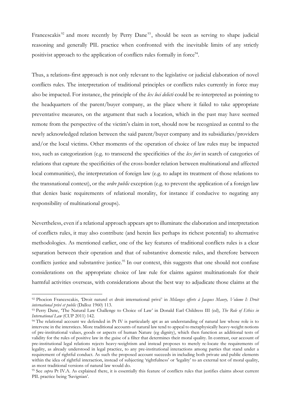Francescakis<sup>92</sup> and more recently by Perry Dane<sup>93</sup>, should be seen as serving to shape judicial reasoning and generally PIL practice when confronted with the inevitable limits of any strictly positivist approach to the application of conflicts rules formally in force<sup>94</sup>.

Thus, a relations-first approach is not only relevant to the legislative or judicial elaboration of novel conflicts rules. The interpretation of traditional principles or conflicts rules currently in force may also be impacted. For instance, the principle of the lex loci delicti could be re-interpreted as pointing to the headquarters of the parent/buyer company, as the place where it failed to take appropriate preventative measures, on the argument that such a location, which in the past may have seemed remote from the perspective of the victim's claim in tort, should now be recognized as central to the newly acknowledged relation between the said parent/buyer company and its subsidiaries/providers and/or the local victims. Other moments of the operation of choice of law rules may be impacted too, such as categorization (e.g. to transcend the specificities of the lex fori in search of categories of relations that capture the specificities of the cross-border relation between multinational and affected local communities), the interpretation of foreign law (e.g. to adapt its treatment of those relations to the transnational context), or the *ordre public* exception (e.g. to prevent the application of a foreign law that denies basic requirements of relational morality, for instance if conducive to negating any responsibility of multinational groups).

Nevertheless, even if a relational approach appears apt to illuminate the elaboration and interpretation of conflicts rules, it may also contribute (and herein lies perhaps its richest potential) to alternative methodologies. As mentioned earlier, one of the key features of traditional conflicts rules is a clear separation between their operation and that of substantive domestic rules, and therefore between conflicts justice and substantive justice.<sup>95</sup> In our context, this suggests that one should not confuse considerations on the appropriate choice of law rule for claims against multinationals for their harmful activities overseas, with considerations about the best way to adjudicate those claims at the

<sup>92</sup> Phocion Francescakis, 'Droit naturel et droit international privé' in Mélanges offerts à Jacques Maury, Volume I: Droit international privé et public (Dalloz 1960) 113.

<sup>93</sup> Perry Dane, 'The Natural Law Challenge to Choice of Law' in Donald Earl Childress III (ed), The Role of Ethics in International Law (CUP 2011) 142.

<sup>&</sup>lt;sup>94</sup> The relational account we defended in Pt IV is particularly apt as an understanding of natural law whose role is to intervene in the interstices. More traditional accounts of natural law tend to appeal to metaphysically heavy-weight notions of pre-institutional values, goods or aspects of human Nature (eg dignity), which then function as additional tests of validity for the rules of positive law in the guise of a filter that determines their moral quality. In contrast, our account of pre-institutional legal relations rejects heavy-weightism and instead proposes to merely re-locate the requirements of legality, as already understood in legal practice, to any pre-institutional interactions among parties that stand under a requirement of rightful conduct. As such the proposed account succeeds in including both private and public elements within the idea of rightful interaction, instead of subjecting 'rightfulness' or 'legality' to an external test of moral quality, as most traditional versions of natural law would do.

<sup>&</sup>lt;sup>95</sup> See *supra* Pt IV.A. As explained there, it is essentially this feature of conflicts rules that justifies claims about current PIL practice being 'Savignian'.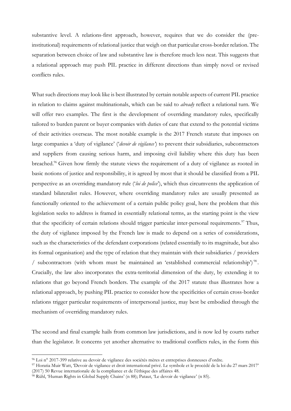substantive level. A relations-first approach, however, requires that we do consider the (preinstitutional) requirements of relational justice that weigh on that particular cross-border relation. The separation between choice of law and substantive law is therefore much less neat. This suggests that a relational approach may push PIL practice in different directions than simply novel or revised conflicts rules.

What such directions may look like is best illustrated by certain notable aspects of current PIL practice in relation to claims against multinationals, which can be said to already reflect a relational turn. We will offer two examples. The first is the development of overriding mandatory rules, specifically tailored to burden parent or buyer companies with duties of care that extend to the potential victims of their activities overseas. The most notable example is the 2017 French statute that imposes on large companies a 'duty of vigilance' ('*devoir de vigilance*') to prevent their subsidiaries, subcontractors and suppliers from causing serious harm, and imposing civil liability where this duty has been breached.<sup>96</sup> Given how firmly the statute views the requirement of a duty of vigilance as rooted in basic notions of justice and responsibility, it is agreed by most that it should be classified from a PIL perspective as an overriding mandatory rule *('loi de police'*), which thus circumvents the application of standard bilateralist rules. However, where overriding mandatory rules are usually presented as functionally oriented to the achievement of a certain public policy goal, here the problem that this legislation seeks to address is framed in essentially relational terms, as the starting point is the view that the specificity of certain relations should trigger particular inter-personal requirements.<sup>97</sup> Thus, the duty of vigilance imposed by the French law is made to depend on a series of considerations, such as the characteristics of the defendant corporations (related essentially to its magnitude, but also its formal organisation) and the type of relation that they maintain with their subsidiaries / providers / subcontractors (with whom must be maintained an 'established commercial relationship')<sup>98</sup>. Crucially, the law also incorporates the extra-territorial dimension of the duty, by extending it to relations that go beyond French borders. The example of the 2017 statute thus illustrates how a relational approach, by pushing PIL practice to consider how the specificities of certain cross-border relations trigger particular requirements of interpersonal justice, may best be embodied through the mechanism of overriding mandatory rules.

The second and final example hails from common law jurisdictions, and is now led by courts rather than the legislator. It concerns yet another alternative to traditional conflicts rules, in the form this

<sup>96</sup> Loi n° 2017-399 relative au devoir de vigilance des sociétés mères et entreprises donneuses d'ordre.

<sup>97</sup> Horatia Muir Watt, 'Devoir de vigilance et droit international privé. Le symbole et le procédé de la loi du 27 mars 2017' (2017) 50 Revue internationale de la compliance et de l'éthique des affaires 48.

<sup>98</sup> Rühl, 'Human Rights in Global Supply Chains' (n 88); Pataut, 'Le devoir de vigilance' (n 85).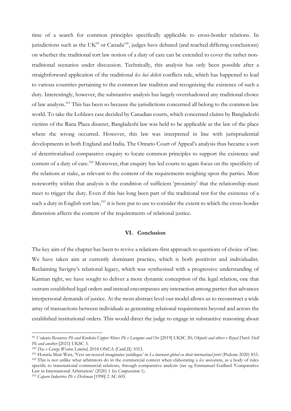time of a search for common principles specifically applicable to cross-border relations. In jurisdictions such as the  $UK^{99}$  or Canada<sup>100</sup>, judges have debated (and reached differing conclusions) on whether the traditional tort law notion of a duty of care can be extended to cover the rather nontraditional scenarios under discussion. Technically, this analysis has only been possible after a straightforward application of the traditional lex loci delicti conflicts rule, which has happened to lead to various countries pertaining to the common law tradition and recognizing the existence of such a duty. Interestingly, however, the substantive analysis has largely overshadowed any traditional choice of law analysis.<sup>101</sup> This has been so because the jurisdictions concerned all belong to the common law world. To take the Loblaws case decided by Canadian courts, which concerned claims by Bangladeshi victims of the Rana Plaza disaster, Bangladeshi law was held to be applicable as the law of the place where the wrong occurred. However, this law was interpreted in line with jurisprudential developments in both England and India. The Ontario Court of Appeal's analysis thus became a sort of deterritorialised comparative enquiry to locate common principles to support the existence and content of a duty of care.<sup>102</sup> Moreover, that enquiry has led courts to again focus on the specificity of the relations at stake, as relevant to the content of the requirements weighing upon the parties. Most noteworthy within that analysis is the condition of sufficient 'proximity' that the relationship must meet to trigger the duty. Even if this has long been part of the traditional test for the existence of a such a duty in English tort law,<sup>103</sup> it is here put to use to consider the extent to which the cross-border dimension affects the content of the requirements of relational justice.

#### VI. Conclusion

The key aim of the chapter has been to revive a relations-first approach to questions of choice of law. We have taken aim at currently dominant practice, which is both positivist and individualist. Reclaiming Savigny's relational legacy, which was synthesised with a progressive understanding of Kantian right, we have sought to deliver a more dynamic conception of the legal relation, one that outruns established legal orders and instead encompasses any interaction among parties that advances interpersonal demands of justice. At the most abstract level our model allows us to reconstruct a wide array of transactions between individuals as generating relational requirements beyond and across the established institutional orders. This would direct the judge to engage in substantive reasoning about

<sup>99</sup> Vedanta Resources Plc and Konkola Copper Mines Plc v Lungowe and Ors [2019] UKSC 20; Okpabi and others v Royal Dutch Shell Plc and another [2021] UKSC 3.

<sup>100</sup> Das v George Weston Limited, 2018 ONCA (CanLII) 1053.

<sup>&</sup>lt;sup>101</sup> Horatia Muir Watt, 'Vers un nouvel imaginaire juridique' in Le tournant global en droit internatinal privé (Pedone 2020) 833.  $102$  This is not unlike what arbitrators do in the commercial context when elaborating a lex mercatoria, as a body of rules specific to transnational commercial relations, through comparative analysis (see eg Emmanuel Gaillard 'Comparative Law in International Arbitration' (2020) 1 Ius Comparatum 1).

<sup>&</sup>lt;sup>103</sup> Caparo Industries Plc v Dickman [1990] 2 AC 605.